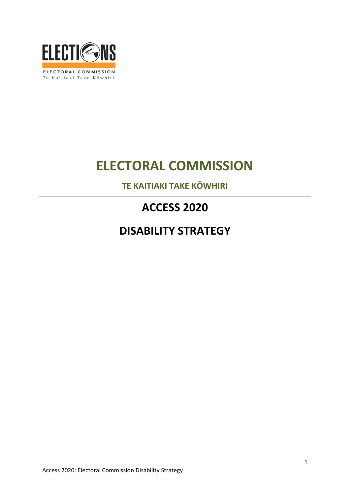

# **ELECTORAL COMMISSION**

**TE KAITIAKI TAKE KŌWHIRI**

## **ACCESS 2020**

## **DISABILITY STRATEGY**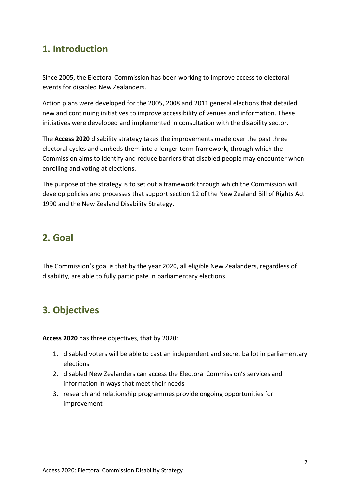### **1. Introduction**

Since 2005, the Electoral Commission has been working to improve access to electoral events for disabled New Zealanders.

Action plans were developed for the 2005, 2008 and 2011 general elections that detailed new and continuing initiatives to improve accessibility of venues and information. These initiatives were developed and implemented in consultation with the disability sector.

The **Access 2020** disability strategy takes the improvements made over the past three electoral cycles and embeds them into a longer-term framework, through which the Commission aims to identify and reduce barriers that disabled people may encounter when enrolling and voting at elections.

The purpose of the strategy is to set out a framework through which the Commission will develop policies and processes that support section 12 of the New Zealand Bill of Rights Act 1990 and the New Zealand Disability Strategy.

### **2. Goal**

The Commission's goal is that by the year 2020, all eligible New Zealanders, regardless of disability, are able to fully participate in parliamentary elections.

## **3. Objectives**

**Access 2020** has three objectives, that by 2020:

- 1. disabled voters will be able to cast an independent and secret ballot in parliamentary elections
- 2. disabled New Zealanders can access the Electoral Commission's services and information in ways that meet their needs
- 3. research and relationship programmes provide ongoing opportunities for improvement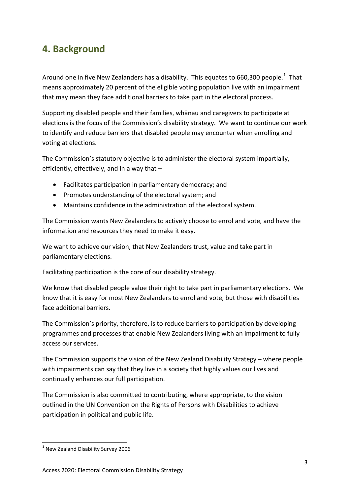### **4. Background**

Around one in five New Zealanders has a disability. This equates to 660,300 people.<sup>[1](#page-2-0)</sup> That means approximately 20 percent of the eligible voting population live with an impairment that may mean they face additional barriers to take part in the electoral process.

Supporting disabled people and their families, whānau and caregivers to participate at elections is the focus of the Commission's disability strategy. We want to continue our work to identify and reduce barriers that disabled people may encounter when enrolling and voting at elections.

The Commission's statutory objective is to administer the electoral system impartially, efficiently, effectively, and in a way that –

- Facilitates participation in parliamentary democracy; and
- Promotes understanding of the electoral system; and
- Maintains confidence in the administration of the electoral system.

The Commission wants New Zealanders to actively choose to enrol and vote, and have the information and resources they need to make it easy.

We want to achieve our vision, that New Zealanders trust, value and take part in parliamentary elections.

Facilitating participation is the core of our disability strategy.

We know that disabled people value their right to take part in parliamentary elections. We know that it is easy for most New Zealanders to enrol and vote, but those with disabilities face additional barriers.

The Commission's priority, therefore, is to reduce barriers to participation by developing programmes and processes that enable New Zealanders living with an impairment to fully access our services.

The Commission supports the vision of the New Zealand Disability Strategy – where people with impairments can say that they live in a society that highly values our lives and continually enhances our full participation.

The Commission is also committed to contributing, where appropriate, to the vision outlined in the UN Convention on the Rights of Persons with Disabilities to achieve participation in political and public life.

 $\overline{a}$ 

<span id="page-2-0"></span> $1$  New Zealand Disability Survey 2006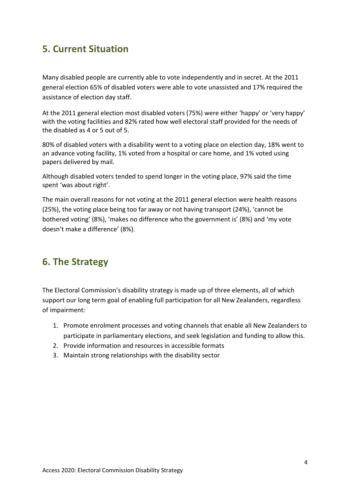### **5. Current Situation**

Many disabled people are currently able to vote independently and in secret. At the 2011 general election 65% of disabled voters were able to vote unassisted and 17% required the assistance of election day staff.

At the 2011 general election most disabled voters (75%) were either 'happy' or 'very happy' with the voting facilities and 82% rated how well electoral staff provided for the needs of the disabled as 4 or 5 out of 5.

80% of disabled voters with a disability went to a voting place on election day, 18% went to an advance voting facility, 1% voted from a hospital or care home, and 1% voted using papers delivered by mail.

Although disabled voters tended to spend longer in the voting place, 97% said the time spent 'was about right'.

The main overall reasons for not voting at the 2011 general election were health reasons (25%), the voting place being too far away or not having transport (24%), 'cannot be bothered voting' (8%), 'makes no difference who the government is' (8%) and 'my vote doesn't make a difference' (8%).

### **6. The Strategy**

The Electoral Commission's disability strategy is made up of three elements, all of which support our long term goal of enabling full participation for all New Zealanders, regardless of impairment:

- 1. Promote enrolment processes and voting channels that enable all New Zealanders to participate in parliamentary elections, and seek legislation and funding to allow this.
- 2. Provide information and resources in accessible formats
- 3. Maintain strong relationships with the disability sector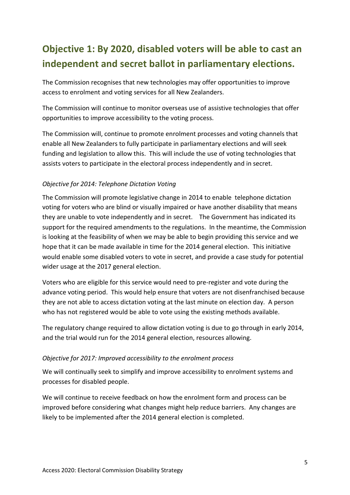## **Objective 1: By 2020, disabled voters will be able to cast an independent and secret ballot in parliamentary elections.**

The Commission recognises that new technologies may offer opportunities to improve access to enrolment and voting services for all New Zealanders.

The Commission will continue to monitor overseas use of assistive technologies that offer opportunities to improve accessibility to the voting process.

The Commission will, continue to promote enrolment processes and voting channels that enable all New Zealanders to fully participate in parliamentary elections and will seek funding and legislation to allow this. This will include the use of voting technologies that assists voters to participate in the electoral process independently and in secret.

#### *Objective for 2014: Telephone Dictation Voting*

The Commission will promote legislative change in 2014 to enable telephone dictation voting for voters who are blind or visually impaired or have another disability that means they are unable to vote independently and in secret. The Government has indicated its support for the required amendments to the regulations. In the meantime, the Commission is looking at the feasibility of when we may be able to begin providing this service and we hope that it can be made available in time for the 2014 general election. This initiative would enable some disabled voters to vote in secret, and provide a case study for potential wider usage at the 2017 general election.

Voters who are eligible for this service would need to pre-register and vote during the advance voting period. This would help ensure that voters are not disenfranchised because they are not able to access dictation voting at the last minute on election day. A person who has not registered would be able to vote using the existing methods available.

The regulatory change required to allow dictation voting is due to go through in early 2014, and the trial would run for the 2014 general election, resources allowing.

#### *Objective for 2017: Improved accessibility to the enrolment process*

We will continually seek to simplify and improve accessibility to enrolment systems and processes for disabled people.

We will continue to receive feedback on how the enrolment form and process can be improved before considering what changes might help reduce barriers. Any changes are likely to be implemented after the 2014 general election is completed.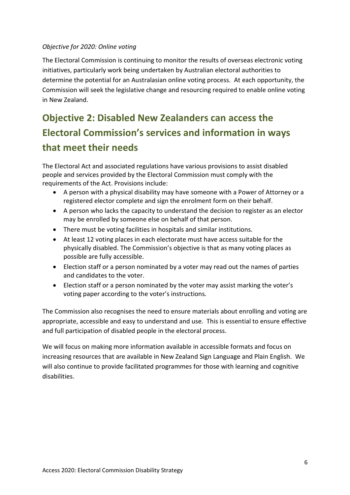#### *Objective for 2020: Online voting*

The Electoral Commission is continuing to monitor the results of overseas electronic voting initiatives, particularly work being undertaken by Australian electoral authorities to determine the potential for an Australasian online voting process. At each opportunity, the Commission will seek the legislative change and resourcing required to enable online voting in New Zealand.

## **Objective 2: Disabled New Zealanders can access the Electoral Commission's services and information in ways that meet their needs**

The Electoral Act and associated regulations have various provisions to assist disabled people and services provided by the Electoral Commission must comply with the requirements of the Act. Provisions include:

- A person with a physical disability may have someone with a Power of Attorney or a registered elector complete and sign the enrolment form on their behalf.
- A person who lacks the capacity to understand the decision to register as an elector may be enrolled by someone else on behalf of that person.
- There must be voting facilities in hospitals and similar institutions.
- At least 12 voting places in each electorate must have access suitable for the physically disabled. The Commission's objective is that as many voting places as possible are fully accessible.
- Election staff or a person nominated by a voter may read out the names of parties and candidates to the voter.
- Election staff or a person nominated by the voter may assist marking the voter's voting paper according to the voter's instructions.

The Commission also recognises the need to ensure materials about enrolling and voting are appropriate, accessible and easy to understand and use. This is essential to ensure effective and full participation of disabled people in the electoral process.

We will focus on making more information available in accessible formats and focus on increasing resources that are available in New Zealand Sign Language and Plain English. We will also continue to provide facilitated programmes for those with learning and cognitive disabilities.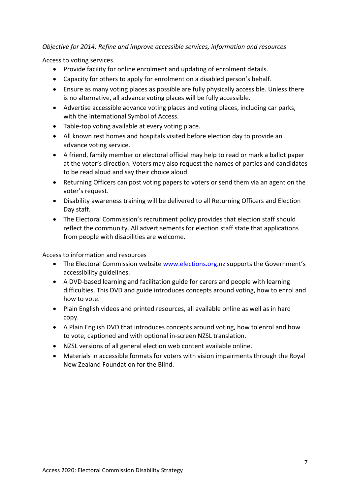#### *Objective for 2014: Refine and improve accessible services, information and resources*

Access to voting services

- Provide facility for online enrolment and updating of enrolment details.
- Capacity for others to apply for enrolment on a disabled person's behalf.
- Ensure as many voting places as possible are fully physically accessible. Unless there is no alternative, all advance voting places will be fully accessible.
- Advertise accessible advance voting places and voting places, including car parks, with the International Symbol of Access.
- Table-top voting available at every voting place.
- All known rest homes and hospitals visited before election day to provide an advance voting service.
- A friend, family member or electoral official may help to read or mark a ballot paper at the voter's direction. Voters may also request the names of parties and candidates to be read aloud and say their choice aloud.
- Returning Officers can post voting papers to voters or send them via an agent on the voter's request.
- Disability awareness training will be delivered to all Returning Officers and Election Day staff.
- The Electoral Commission's recruitment policy provides that election staff should reflect the community. All advertisements for election staff state that applications from people with disabilities are welcome.

Access to information and resources

- The Electoral Commission website www.elections.org.nz supports the Government's accessibility guidelines.
- A DVD-based learning and facilitation guide for carers and people with learning difficulties. This DVD and guide introduces concepts around voting, how to enrol and how to vote.
- Plain English videos and printed resources, all available online as well as in hard copy.
- A Plain English DVD that introduces concepts around voting, how to enrol and how to vote, captioned and with optional in-screen NZSL translation.
- NZSL versions of all general election web content available online.
- Materials in accessible formats for voters with vision impairments through the Royal New Zealand Foundation for the Blind.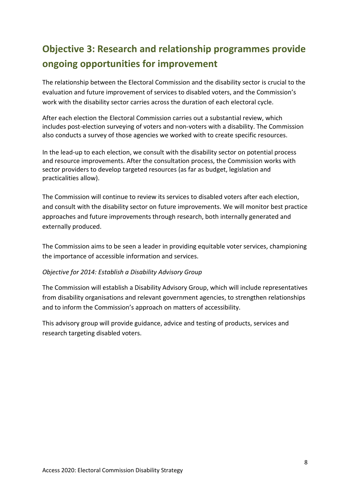## **Objective 3: Research and relationship programmes provide ongoing opportunities for improvement**

The relationship between the Electoral Commission and the disability sector is crucial to the evaluation and future improvement of services to disabled voters, and the Commission's work with the disability sector carries across the duration of each electoral cycle.

After each election the Electoral Commission carries out a substantial review, which includes post-election surveying of voters and non-voters with a disability. The Commission also conducts a survey of those agencies we worked with to create specific resources.

In the lead-up to each election, we consult with the disability sector on potential process and resource improvements. After the consultation process, the Commission works with sector providers to develop targeted resources (as far as budget, legislation and practicalities allow).

The Commission will continue to review its services to disabled voters after each election, and consult with the disability sector on future improvements. We will monitor best practice approaches and future improvements through research, both internally generated and externally produced.

The Commission aims to be seen a leader in providing equitable voter services, championing the importance of accessible information and services.

#### *Objective for 2014: Establish a Disability Advisory Group*

The Commission will establish a Disability Advisory Group, which will include representatives from disability organisations and relevant government agencies, to strengthen relationships and to inform the Commission's approach on matters of accessibility.

This advisory group will provide guidance, advice and testing of products, services and research targeting disabled voters.